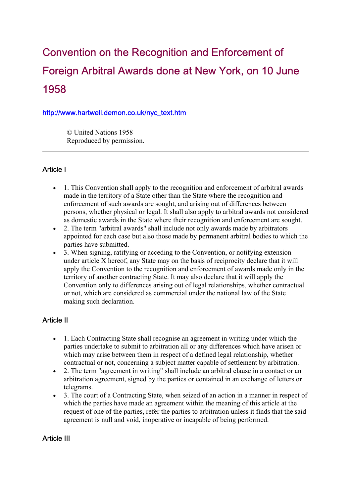# Convention on the Recognition and Enforcement of Foreign Arbitral Awards done at New York, on 10 June 1958

#### http://www.hartwell.demon.co.uk/nyc\_text.htm

 © United Nations 1958 Reproduced by permission.

#### Article I

- 1. This Convention shall apply to the recognition and enforcement of arbitral awards made in the territory of a State other than the State where the recognition and enforcement of such awards are sought, and arising out of differences between persons, whether physical or legal. It shall also apply to arbitral awards not considered as domestic awards in the State where their recognition and enforcement are sought.
- 2. The term "arbitral awards" shall include not only awards made by arbitrators appointed for each case but also those made by permanent arbitral bodies to which the parties have submitted.
- 3. When signing, ratifying or acceding to the Convention, or notifying extension under article X hereof, any State may on the basis of reciprocity declare that it will apply the Convention to the recognition and enforcement of awards made only in the territory of another contracting State. It may also declare that it will apply the Convention only to differences arising out of legal relationships, whether contractual or not, which are considered as commercial under the national law of the State making such declaration.

## Article II

- 1. Each Contracting State shall recognise an agreement in writing under which the parties undertake to submit to arbitration all or any differences which have arisen or which may arise between them in respect of a defined legal relationship, whether contractual or not, concerning a subject matter capable of settlement by arbitration.
- 2. The term "agreement in writing" shall include an arbitral clause in a contact or an arbitration agreement, signed by the parties or contained in an exchange of letters or telegrams.
- 3. The court of a Contracting State, when seized of an action in a manner in respect of which the parties have made an agreement within the meaning of this article at the request of one of the parties, refer the parties to arbitration unless it finds that the said agreement is null and void, inoperative or incapable of being performed.

#### Article III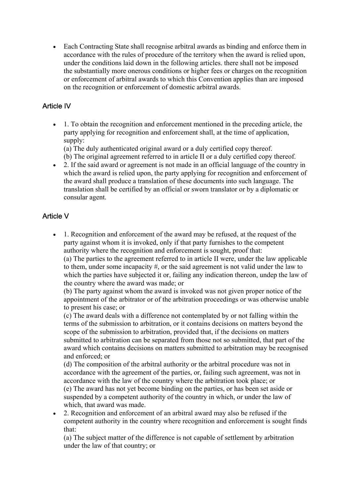• Each Contracting State shall recognise arbitral awards as binding and enforce them in accordance with the rules of procedure of the territory when the award is relied upon, under the conditions laid down in the following articles. there shall not be imposed the substantially more onerous conditions or higher fees or charges on the recognition or enforcement of arbitral awards to which this Convention applies than are imposed on the recognition or enforcement of domestic arbitral awards.

## Article IV

• 1. To obtain the recognition and enforcement mentioned in the preceding article, the party applying for recognition and enforcement shall, at the time of application, supply:

(a) The duly authenticated original award or a duly certified copy thereof.

- (b) The original agreement referred to in article II or a duly certified copy thereof.
- 2. If the said award or agreement is not made in an official language of the country in which the award is relied upon, the party applying for recognition and enforcement of the award shall produce a translation of these documents into such language. The translation shall be certified by an official or sworn translator or by a diplomatic or consular agent.

# Article V

• 1. Recognition and enforcement of the award may be refused, at the request of the party against whom it is invoked, only if that party furnishes to the competent authority where the recognition and enforcement is sought, proof that:

(a) The parties to the agreement referred to in article II were, under the law applicable to them, under some incapacity #, or the said agreement is not valid under the law to which the parties have subjected it or, failing any indication thereon, undep the law of the country where the award was made; or

(b) The party against whom the award is invoked was not given proper notice of the appointment of the arbitrator or of the arbitration proceedings or was otherwise unable to present his case; or

(c) The award deals with a difference not contemplated by or not falling within the terms of the submission to arbitration, or it contains decisions on matters beyond the scope of the submission to arbitration, provided that, if the decisions on matters submitted to arbitration can be separated from those not so submitted, that part of the award which contains decisions on matters submitted to arbitration may be recognised and enforced; or

(d) The composition of the arbitral authority or the arbitral procedure was not in accordance with the agreement of the parties, or, failing such agreement, was not in accordance with the law of the country where the arbitration took place; or (e) The award has not yet become binding on the parties, or has been set aside or suspended by a competent authority of the country in which, or under the law of which, that award was made.

• 2. Recognition and enforcement of an arbitral award may also be refused if the competent authority in the country where recognition and enforcement is sought finds that:

(a) The subject matter of the difference is not capable of settlement by arbitration under the law of that country; or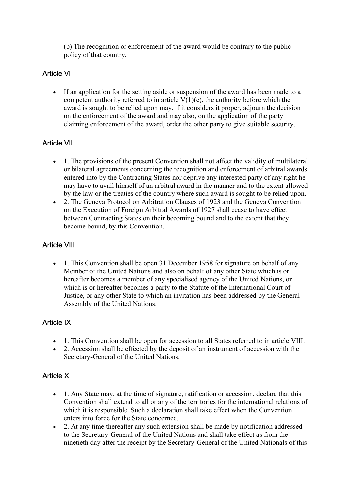(b) The recognition or enforcement of the award would be contrary to the public policy of that country.

# Article VI

• If an application for the setting aside or suspension of the award has been made to a competent authority referred to in article  $V(1)(e)$ , the authority before which the award is sought to be relied upon may, if it considers it proper, adjourn the decision on the enforcement of the award and may also, on the application of the party claiming enforcement of the award, order the other party to give suitable security.

# Article VII

- 1. The provisions of the present Convention shall not affect the validity of multilateral or bilateral agreements concerning the recognition and enforcement of arbitral awards entered into by the Contracting States nor deprive any interested party of any right he may have to avail himself of an arbitral award in the manner and to the extent allowed by the law or the treaties of the country where such award is sought to be relied upon.
- 2. The Geneva Protocol on Arbitration Clauses of 1923 and the Geneva Convention on the Execution of Foreign Arbitral Awards of 1927 shall cease to have effect between Contracting States on their becoming bound and to the extent that they become bound, by this Convention.

## Article VIII

• 1. This Convention shall be open 31 December 1958 for signature on behalf of any Member of the United Nations and also on behalf of any other State which is or hereafter becomes a member of any specialised agency of the United Nations, or which is or hereafter becomes a party to the Statute of the International Court of Justice, or any other State to which an invitation has been addressed by the General Assembly of the United Nations.

#### Article IX

- 1. This Convention shall be open for accession to all States referred to in article VIII.
- 2. Accession shall be effected by the deposit of an instrument of accession with the Secretary-General of the United Nations.

## Article X

- 1. Any State may, at the time of signature, ratification or accession, declare that this Convention shall extend to all or any of the territories for the international relations of which it is responsible. Such a declaration shall take effect when the Convention enters into force for the State concerned.
- 2. At any time thereafter any such extension shall be made by notification addressed to the Secretary-General of the United Nations and shall take effect as from the ninetieth day after the receipt by the Secretary-General of the United Nationals of this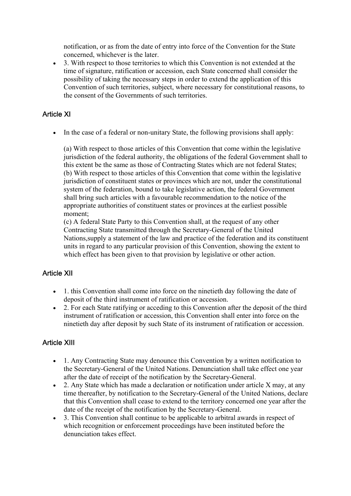notification, or as from the date of entry into force of the Convention for the State concerned, whichever is the later.

• 3. With respect to those territories to which this Convention is not extended at the time of signature, ratification or accession, each State concerned shall consider the possibility of taking the necessary steps in order to extend the application of this Convention of such territories, subject, where necessary for constitutional reasons, to the consent of the Governments of such territories.

# Article XI

• In the case of a federal or non-unitary State, the following provisions shall apply:

(a) With respect to those articles of this Convention that come within the legislative jurisdiction of the federal authority, the obligations of the federal Government shall to this extent be the same as those of Contracting States which are not federal States; (b) With respect to those articles of this Convention that come within the legislative jurisdiction of constituent states or provinces which are not, under the constitutional system of the federation, bound to take legislative action, the federal Government shall bring such articles with a favourable recommendation to the notice of the appropriate authorities of constituent states or provinces at the earliest possible moment;

(c) A federal State Party to this Convention shall, at the request of any other Contracting State transmitted through the Secretary-General of the United Nations,supply a statement of the law and practice of the federation and its constituent units in regard to any particular provision of this Convention, showing the extent to which effect has been given to that provision by legislative or other action.

## Article XII

- 1. this Convention shall come into force on the ninetieth day following the date of deposit of the third instrument of ratification or accession.
- 2. For each State ratifying or acceding to this Convention after the deposit of the third instrument of ratification or accession, this Convention shall enter into force on the ninetieth day after deposit by such State of its instrument of ratification or accession.

# Article XIII

- 1. Any Contracting State may denounce this Convention by a written notification to the Secretary-General of the United Nations. Denunciation shall take effect one year after the date of receipt of the notification by the Secretary-General.
- 2. Any State which has made a declaration or notification under article X may, at any time thereafter, by notification to the Secretary-General of the United Nations, declare that this Convention shall cease to extend to the territory concerned one year after the date of the receipt of the notification by the Secretary-General.
- 3. This Convention shall continue to be applicable to arbitral awards in respect of which recognition or enforcement proceedings have been instituted before the denunciation takes effect.